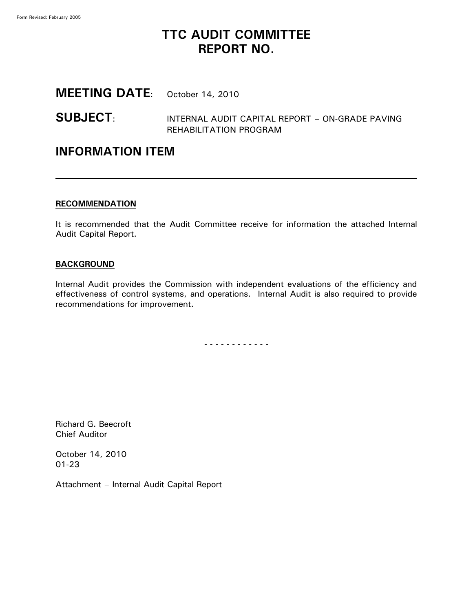## **TTC AUDIT COMMITTEE REPORT NO.**

## **MEETING DATE**: October 14, 2010

### **SUBJECT**: INTERNAL AUDIT CAPITAL REPORT – ON-GRADE PAVING REHABILITATION PROGRAM

### **INFORMATION ITEM**

#### **RECOMMENDATION**

It is recommended that the Audit Committee receive for information the attached Internal Audit Capital Report.

#### **BACKGROUND**

Internal Audit provides the Commission with independent evaluations of the efficiency and effectiveness of control systems, and operations. Internal Audit is also required to provide recommendations for improvement.

- - - - - - - - - - - -

Richard G. Beecroft Chief Auditor

October 14, 2010 01-23

Attachment – Internal Audit Capital Report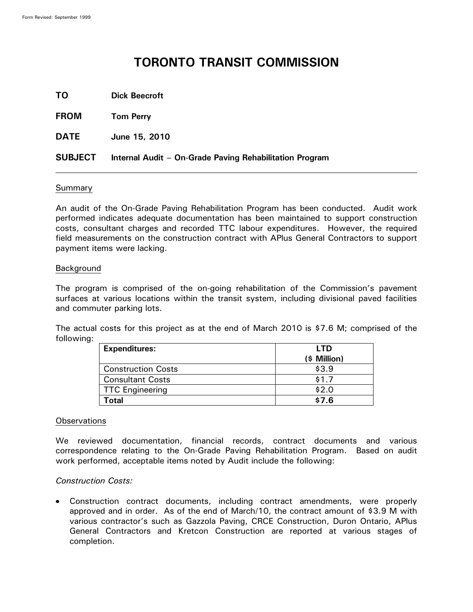# **TORONTO TRANSIT COMMISSION**

**TO Dick Beecroft**

**FROM Tom Perry**

**DATE June 15, 2010**

#### **SUBJECT Internal Audit – On-Grade Paving Rehabilitation Program**

#### Summary

An audit of the On-Grade Paving Rehabilitation Program has been conducted. Audit work performed indicates adequate documentation has been maintained to support construction costs, consultant charges and recorded TTC labour expenditures. However, the required field measurements on the construction contract with APlus General Contractors to support payment items were lacking.

#### Background

The program is comprised of the on-going rehabilitation of the Commission's pavement surfaces at various locations within the transit system, including divisional paved facilities and commuter parking lots.

The actual costs for this project as at the end of March 2010 is \$7.6 M; comprised of the following:

| <b>Expenditures:</b>      | LTD          |
|---------------------------|--------------|
|                           | (\$ Million) |
| <b>Construction Costs</b> | \$3.9        |
| <b>Consultant Costs</b>   | \$1.7        |
| <b>TTC Engineering</b>    | \$2.0        |
| 'otal                     | \$7.6        |

#### **Observations**

We reviewed documentation, financial records, contract documents and various correspondence relating to the On-Grade Paving Rehabilitation Program. Based on audit work performed, acceptable items noted by Audit include the following:

#### *Construction Costs:*

Construction contract documents, including contract amendments, were properly approved and in order. As of the end of March/10, the contract amount of \$3.9 M with various contractor's such as Gazzola Paving, CRCE Construction, Duron Ontario, APlus General Contractors and Kretcon Construction are reported at various stages of completion.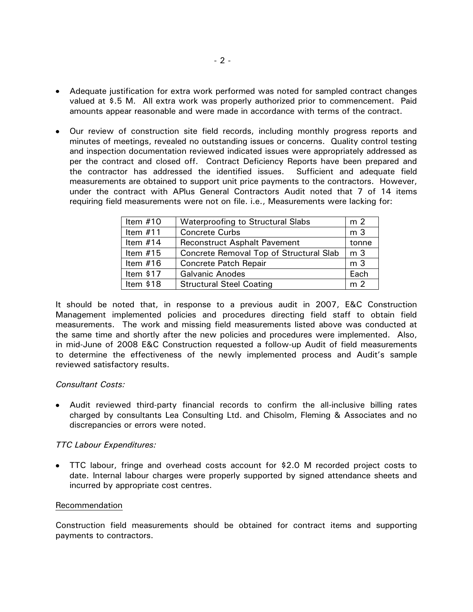- Adequate justification for extra work performed was noted for sampled contract changes valued at \$.5 M. All extra work was properly authorized prior to commencement. Paid amounts appear reasonable and were made in accordance with terms of the contract.
- Our review of construction site field records, including monthly progress reports and minutes of meetings, revealed no outstanding issues or concerns. Quality control testing and inspection documentation reviewed indicated issues were appropriately addressed as per the contract and closed off. Contract Deficiency Reports have been prepared and the contractor has addressed the identified issues. Sufficient and adequate field measurements are obtained to support unit price payments to the contractors. However, under the contract with APlus General Contractors Audit noted that 7 of 14 items requiring field measurements were not on file. i.e., Measurements were lacking for:

| Item $#10$ | Waterproofing to Structural Slabs       | m <sub>2</sub> |
|------------|-----------------------------------------|----------------|
| Item $#11$ | <b>Concrete Curbs</b>                   | m <sub>3</sub> |
| Item $#14$ | <b>Reconstruct Asphalt Pavement</b>     | tonne          |
| Item $#15$ | Concrete Removal Top of Structural Slab | m <sub>3</sub> |
| Item $#16$ | <b>Concrete Patch Repair</b>            | m 3            |
| Item $$17$ | <b>Galvanic Anodes</b>                  | Each           |
| Item \$18  | <b>Structural Steel Coating</b>         | m <sub>2</sub> |

It should be noted that, in response to a previous audit in 2007, E&C Construction Management implemented policies and procedures directing field staff to obtain field measurements. The work and missing field measurements listed above was conducted at the same time and shortly after the new policies and procedures were implemented. Also, in mid-June of 2008 E&C Construction requested a follow-up Audit of field measurements to determine the effectiveness of the newly implemented process and Audit's sample reviewed satisfactory results.

#### *Consultant Costs:*

Audit reviewed third-party financial records to confirm the all-inclusive billing rates charged by consultants Lea Consulting Ltd. and Chisolm, Fleming & Associates and no discrepancies or errors were noted.

#### *TTC Labour Expenditures:*

TTC labour, fringe and overhead costs account for \$2.0 M recorded project costs to date. Internal labour charges were properly supported by signed attendance sheets and incurred by appropriate cost centres.

#### Recommendation

Construction field measurements should be obtained for contract items and supporting payments to contractors.